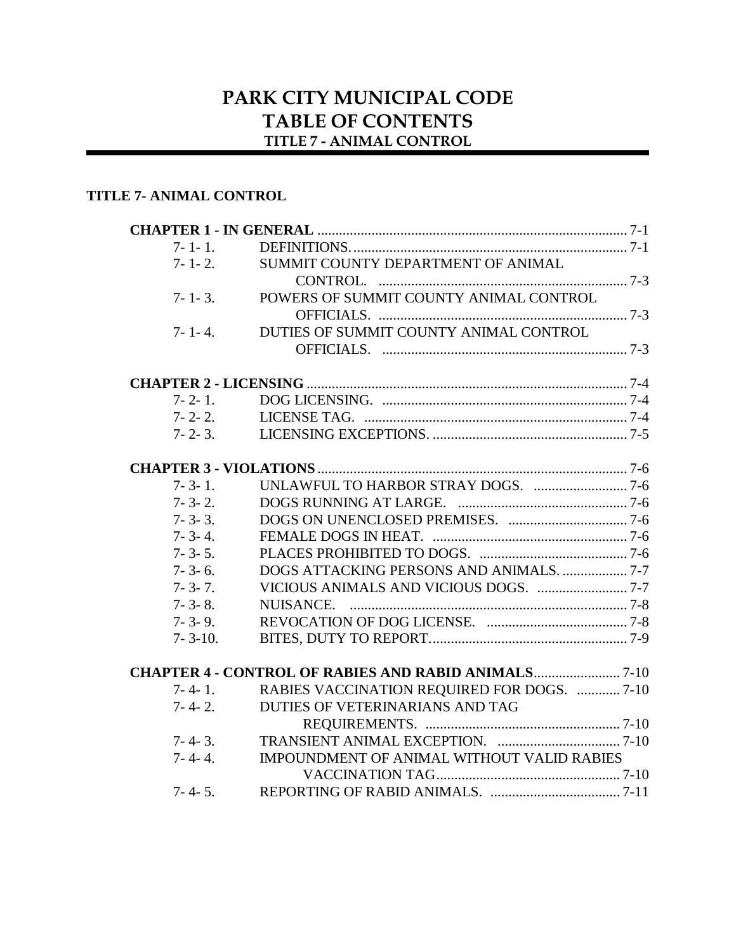# **PARK CITY MUNICIPAL CODE TABLE OF CONTENTS TITLE 7 - ANIMAL CONTROL**

## **TITLE 7- ANIMAL CONTROL**

| SUMMIT COUNTY DEPARTMENT OF ANIMAL<br>$7 - 1 - 2$ .         |                                                                                                                                     |
|-------------------------------------------------------------|-------------------------------------------------------------------------------------------------------------------------------------|
|                                                             |                                                                                                                                     |
|                                                             |                                                                                                                                     |
|                                                             |                                                                                                                                     |
|                                                             |                                                                                                                                     |
|                                                             |                                                                                                                                     |
| DUTIES OF SUMMIT COUNTY ANIMAL CONTROL                      |                                                                                                                                     |
|                                                             |                                                                                                                                     |
|                                                             |                                                                                                                                     |
|                                                             |                                                                                                                                     |
|                                                             |                                                                                                                                     |
|                                                             |                                                                                                                                     |
|                                                             |                                                                                                                                     |
|                                                             |                                                                                                                                     |
|                                                             |                                                                                                                                     |
|                                                             |                                                                                                                                     |
|                                                             |                                                                                                                                     |
|                                                             |                                                                                                                                     |
|                                                             |                                                                                                                                     |
|                                                             |                                                                                                                                     |
|                                                             |                                                                                                                                     |
|                                                             |                                                                                                                                     |
|                                                             |                                                                                                                                     |
| <b>CHAPTER 4 - CONTROL OF RABIES AND RABID ANIMALS 7-10</b> |                                                                                                                                     |
|                                                             |                                                                                                                                     |
| DUTIES OF VETERINARIANS AND TAG                             |                                                                                                                                     |
|                                                             |                                                                                                                                     |
|                                                             |                                                                                                                                     |
|                                                             |                                                                                                                                     |
|                                                             |                                                                                                                                     |
|                                                             |                                                                                                                                     |
|                                                             | POWERS OF SUMMIT COUNTY ANIMAL CONTROL<br>RABIES VACCINATION REQUIRED FOR DOGS.  7-10<br>IMPOUNDMENT OF ANIMAL WITHOUT VALID RABIES |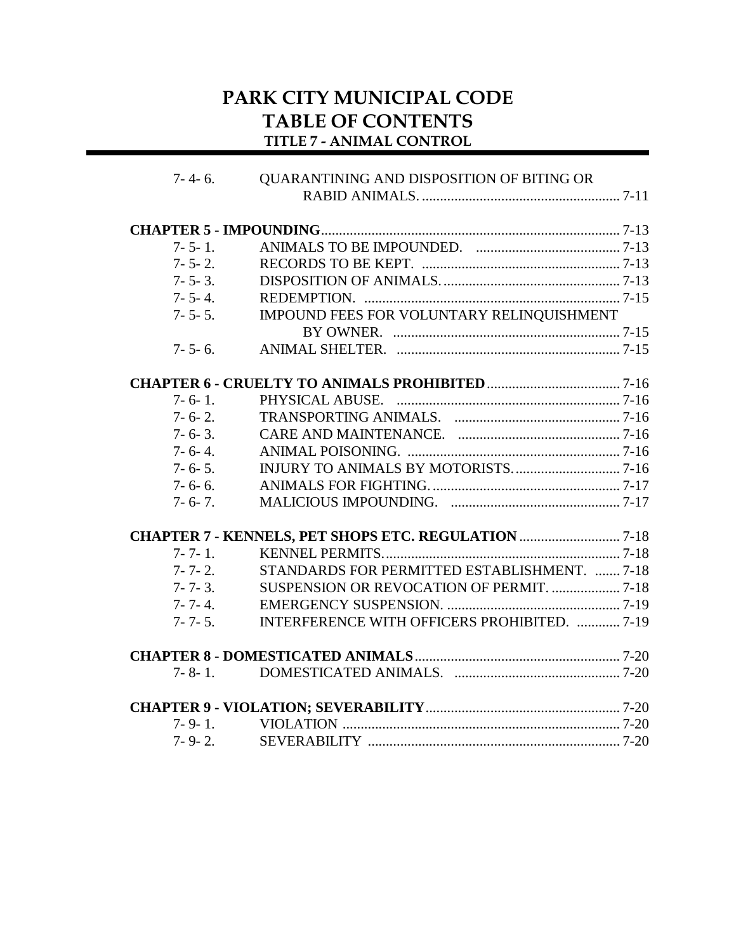# **PARK CITY MUNICIPAL CODE TABLE OF CONTENTS TITLE 7 - ANIMAL CONTROL**

| $7 - 4 - 6.$  | QUARANTINING AND DISPOSITION OF BITING OR            |  |
|---------------|------------------------------------------------------|--|
|               |                                                      |  |
|               |                                                      |  |
| $7 - 5 - 1$ . |                                                      |  |
| $7 - 5 - 2$ . |                                                      |  |
| $7 - 5 - 3$ . |                                                      |  |
| $7 - 5 - 4$ . |                                                      |  |
| $7 - 5 - 5$ . | IMPOUND FEES FOR VOLUNTARY RELINQUISHMENT            |  |
|               |                                                      |  |
| $7 - 5 - 6$ . |                                                      |  |
|               |                                                      |  |
| $7 - 6 - 1$ . |                                                      |  |
| $7 - 6 - 2$ . |                                                      |  |
| $7 - 6 - 3$ . |                                                      |  |
| $7 - 6 - 4.$  |                                                      |  |
| $7 - 6 - 5$ . |                                                      |  |
| $7 - 6 - 6$ . |                                                      |  |
| $7 - 6 - 7$ . |                                                      |  |
|               | CHAPTER 7 - KENNELS, PET SHOPS ETC. REGULATION  7-18 |  |
| $7 - 7 - 1$ . |                                                      |  |
| $7 - 7 - 2$ . | STANDARDS FOR PERMITTED ESTABLISHMENT. 7-18          |  |
| $7 - 7 - 3$ . |                                                      |  |
| $7 - 7 - 4$ . |                                                      |  |
| $7 - 7 - 5$ . | INTERFERENCE WITH OFFICERS PROHIBITED.  7-19         |  |
|               |                                                      |  |
| $7 - 8 - 1$ . |                                                      |  |
|               |                                                      |  |
|               |                                                      |  |
| $7 - 9 - 2$ . |                                                      |  |
|               |                                                      |  |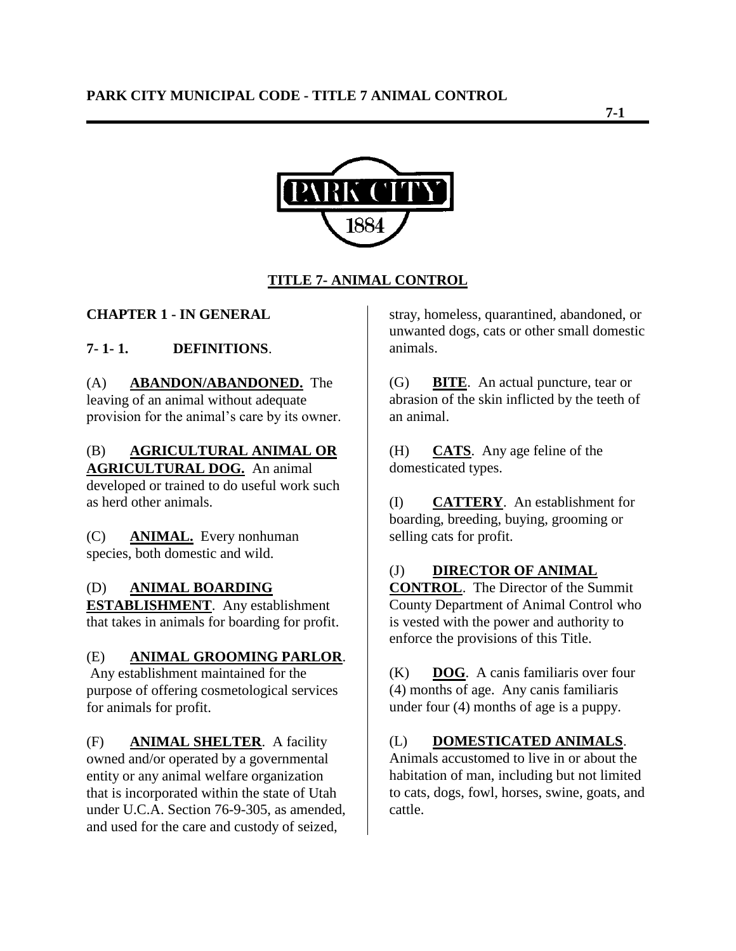

# **TITLE 7- ANIMAL CONTROL**

## **CHAPTER 1 - IN GENERAL**

# **7- 1- 1. DEFINITIONS**.

#### (A) **ABANDON/ABANDONED.** The leaving of an animal without adequate provision for the animal"s care by its owner.

## (B) **AGRICULTURAL ANIMAL OR AGRICULTURAL DOG.** An animal

developed or trained to do useful work such as herd other animals.

(C) **ANIMAL.** Every nonhuman species, both domestic and wild.

#### (D) **ANIMAL BOARDING**

**ESTABLISHMENT**. Any establishment that takes in animals for boarding for profit.

#### (E) **ANIMAL GROOMING PARLOR**.

Any establishment maintained for the purpose of offering cosmetological services for animals for profit.

(F) **ANIMAL SHELTER**. A facility owned and/or operated by a governmental entity or any animal welfare organization that is incorporated within the state of Utah under U.C.A. Section 76-9-305, as amended, and used for the care and custody of seized,

stray, homeless, quarantined, abandoned, or unwanted dogs, cats or other small domestic animals.

(G) **BITE**. An actual puncture, tear or abrasion of the skin inflicted by the teeth of an animal.

(H) **CATS**. Any age feline of the domesticated types.

(I) **CATTERY**. An establishment for boarding, breeding, buying, grooming or selling cats for profit.

#### (J) **DIRECTOR OF ANIMAL**

**CONTROL**. The Director of the Summit County Department of Animal Control who is vested with the power and authority to enforce the provisions of this Title.

(K) **DOG**. A canis familiaris over four (4) months of age. Any canis familiaris under four (4) months of age is a puppy.

(L) **DOMESTICATED ANIMALS**. Animals accustomed to live in or about the habitation of man, including but not limited

to cats, dogs, fowl, horses, swine, goats, and cattle.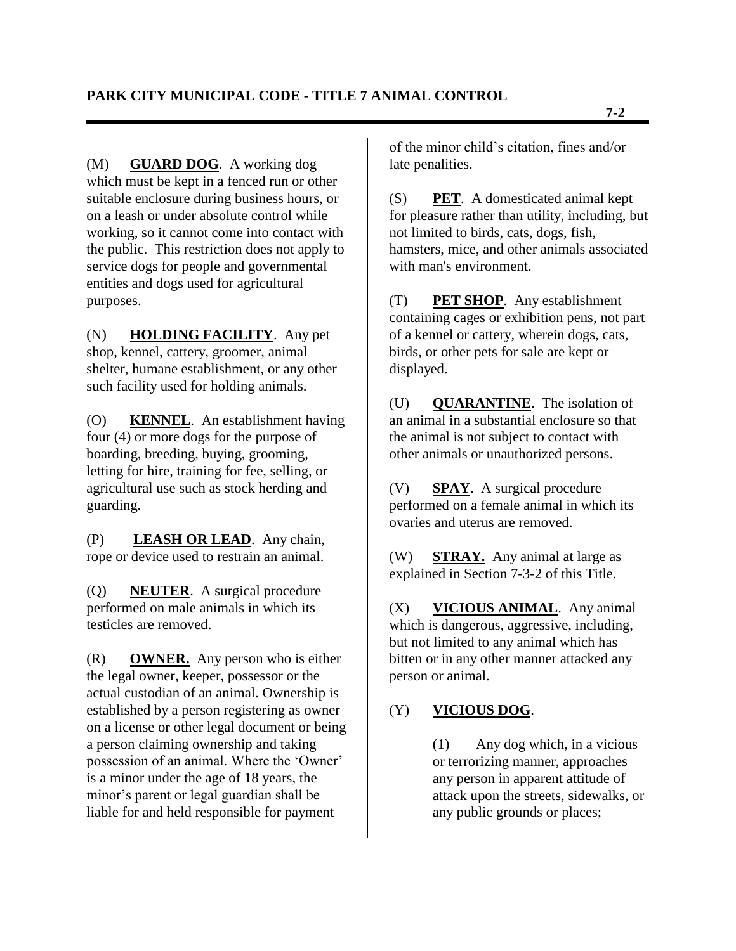(M) **GUARD DOG**. A working dog which must be kept in a fenced run or other suitable enclosure during business hours, or on a leash or under absolute control while working, so it cannot come into contact with the public. This restriction does not apply to service dogs for people and governmental entities and dogs used for agricultural purposes.

(N) **HOLDING FACILITY**. Any pet shop, kennel, cattery, groomer, animal shelter, humane establishment, or any other such facility used for holding animals.

(O) **KENNEL**. An establishment having four (4) or more dogs for the purpose of boarding, breeding, buying, grooming, letting for hire, training for fee, selling, or agricultural use such as stock herding and guarding.

(P) **LEASH OR LEAD**. Any chain, rope or device used to restrain an animal.

(Q) **NEUTER**. A surgical procedure performed on male animals in which its testicles are removed.

(R) **OWNER.** Any person who is either the legal owner, keeper, possessor or the actual custodian of an animal. Ownership is established by a person registering as owner on a license or other legal document or being a person claiming ownership and taking possession of an animal. Where the "Owner" is a minor under the age of 18 years, the minor"s parent or legal guardian shall be liable for and held responsible for payment

of the minor child"s citation, fines and/or late penalities.

(S) **PET**. A domesticated animal kept for pleasure rather than utility, including, but not limited to birds, cats, dogs, fish, hamsters, mice, and other animals associated with man's environment.

(T) **PET SHOP**. Any establishment containing cages or exhibition pens, not part of a kennel or cattery, wherein dogs, cats, birds, or other pets for sale are kept or displayed.

(U) **QUARANTINE**. The isolation of an animal in a substantial enclosure so that the animal is not subject to contact with other animals or unauthorized persons.

(V) **SPAY**. A surgical procedure performed on a female animal in which its ovaries and uterus are removed.

(W) **STRAY.** Any animal at large as explained in Section 7-3-2 of this Title.

(X) **VICIOUS ANIMAL**. Any animal which is dangerous, aggressive, including, but not limited to any animal which has bitten or in any other manner attacked any person or animal.

# (Y) **VICIOUS DOG**.

(1) Any dog which, in a vicious or terrorizing manner, approaches any person in apparent attitude of attack upon the streets, sidewalks, or any public grounds or places;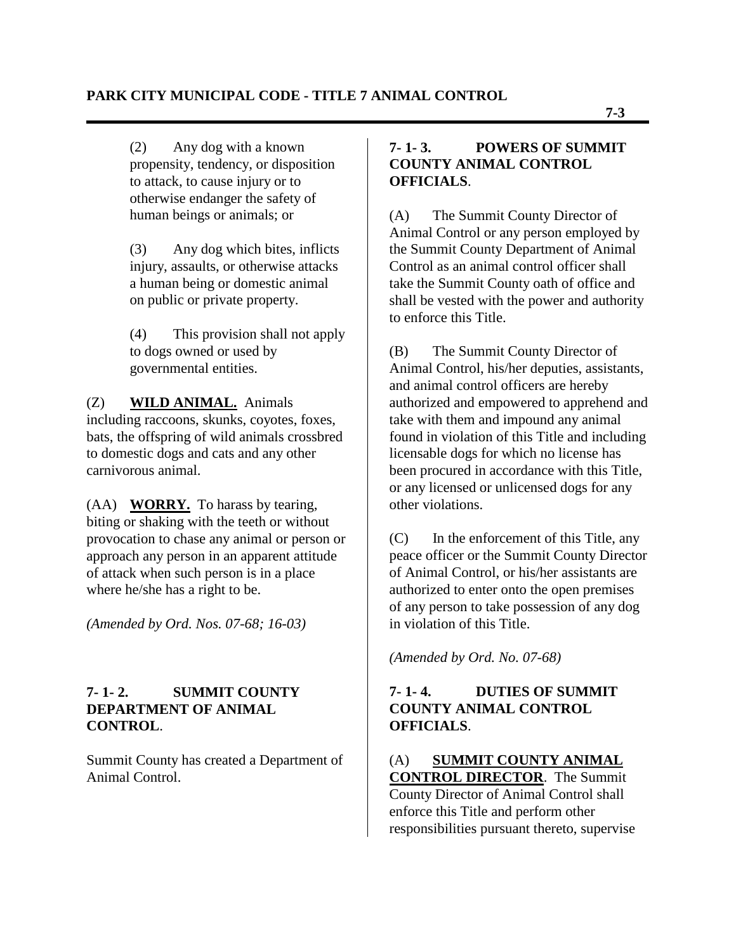(2) Any dog with a known propensity, tendency, or disposition to attack, to cause injury or to otherwise endanger the safety of human beings or animals; or

(3) Any dog which bites, inflicts injury, assaults, or otherwise attacks a human being or domestic animal on public or private property.

(4) This provision shall not apply to dogs owned or used by governmental entities.

#### (Z) **WILD ANIMAL.** Animals including raccoons, skunks, coyotes, foxes, bats, the offspring of wild animals crossbred to domestic dogs and cats and any other carnivorous animal.

(AA) **WORRY.** To harass by tearing, biting or shaking with the teeth or without provocation to chase any animal or person or approach any person in an apparent attitude of attack when such person is in a place where he/she has a right to be.

*(Amended by Ord. Nos. 07-68; 16-03)*

## **7- 1- 2. SUMMIT COUNTY DEPARTMENT OF ANIMAL CONTROL**.

Summit County has created a Department of Animal Control.

## **7- 1- 3. POWERS OF SUMMIT COUNTY ANIMAL CONTROL OFFICIALS**.

(A) The Summit County Director of Animal Control or any person employed by the Summit County Department of Animal Control as an animal control officer shall take the Summit County oath of office and shall be vested with the power and authority to enforce this Title.

(B) The Summit County Director of Animal Control, his/her deputies, assistants, and animal control officers are hereby authorized and empowered to apprehend and take with them and impound any animal found in violation of this Title and including licensable dogs for which no license has been procured in accordance with this Title, or any licensed or unlicensed dogs for any other violations.

(C) In the enforcement of this Title, any peace officer or the Summit County Director of Animal Control, or his/her assistants are authorized to enter onto the open premises of any person to take possession of any dog in violation of this Title.

*(Amended by Ord. No. 07-68)*

# **7- 1- 4. DUTIES OF SUMMIT COUNTY ANIMAL CONTROL OFFICIALS**.

(A) **SUMMIT COUNTY ANIMAL CONTROL DIRECTOR**. The Summit County Director of Animal Control shall enforce this Title and perform other responsibilities pursuant thereto, supervise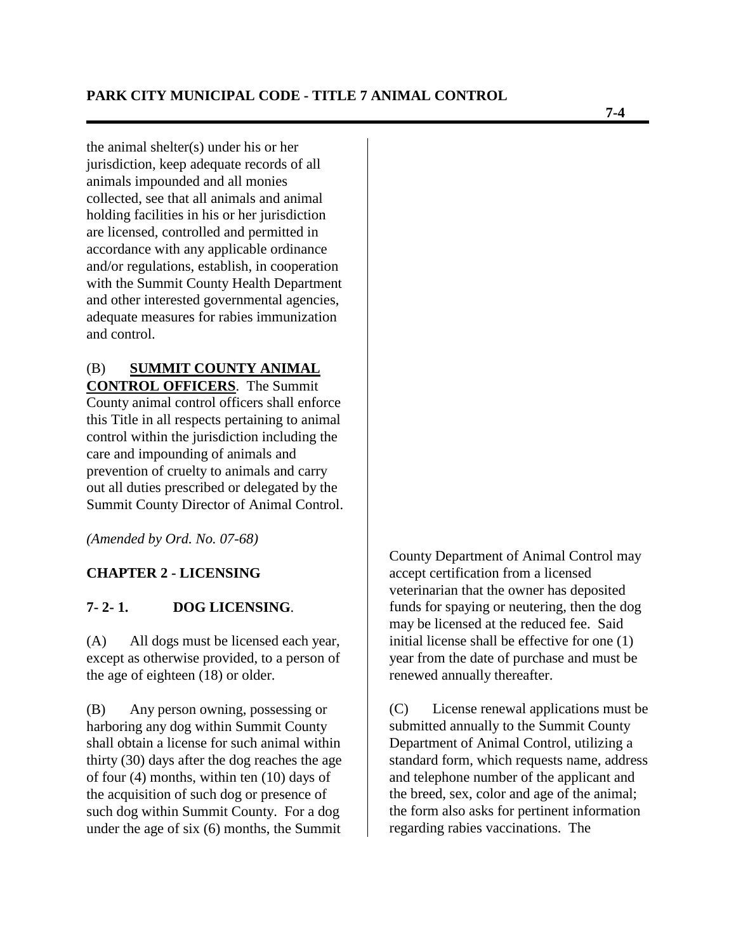the animal shelter(s) under his or her jurisdiction, keep adequate records of all animals impounded and all monies collected, see that all animals and animal holding facilities in his or her jurisdiction are licensed, controlled and permitted in accordance with any applicable ordinance and/or regulations, establish, in cooperation with the Summit County Health Department and other interested governmental agencies, adequate measures for rabies immunization and control.

#### (B) **SUMMIT COUNTY ANIMAL CONTROL OFFICERS**. The Summit

County animal control officers shall enforce this Title in all respects pertaining to animal control within the jurisdiction including the care and impounding of animals and prevention of cruelty to animals and carry out all duties prescribed or delegated by the Summit County Director of Animal Control.

*(Amended by Ord. No. 07-68)*

#### **CHAPTER 2 - LICENSING**

#### **7- 2- 1. DOG LICENSING**.

(A) All dogs must be licensed each year, except as otherwise provided, to a person of the age of eighteen (18) or older.

(B) Any person owning, possessing or harboring any dog within Summit County shall obtain a license for such animal within thirty (30) days after the dog reaches the age of four (4) months, within ten (10) days of the acquisition of such dog or presence of such dog within Summit County. For a dog under the age of six (6) months, the Summit

County Department of Animal Control may accept certification from a licensed veterinarian that the owner has deposited funds for spaying or neutering, then the dog may be licensed at the reduced fee. Said initial license shall be effective for one (1) year from the date of purchase and must be renewed annually thereafter.

(C) License renewal applications must be submitted annually to the Summit County Department of Animal Control, utilizing a standard form, which requests name, address and telephone number of the applicant and the breed, sex, color and age of the animal; the form also asks for pertinent information regarding rabies vaccinations. The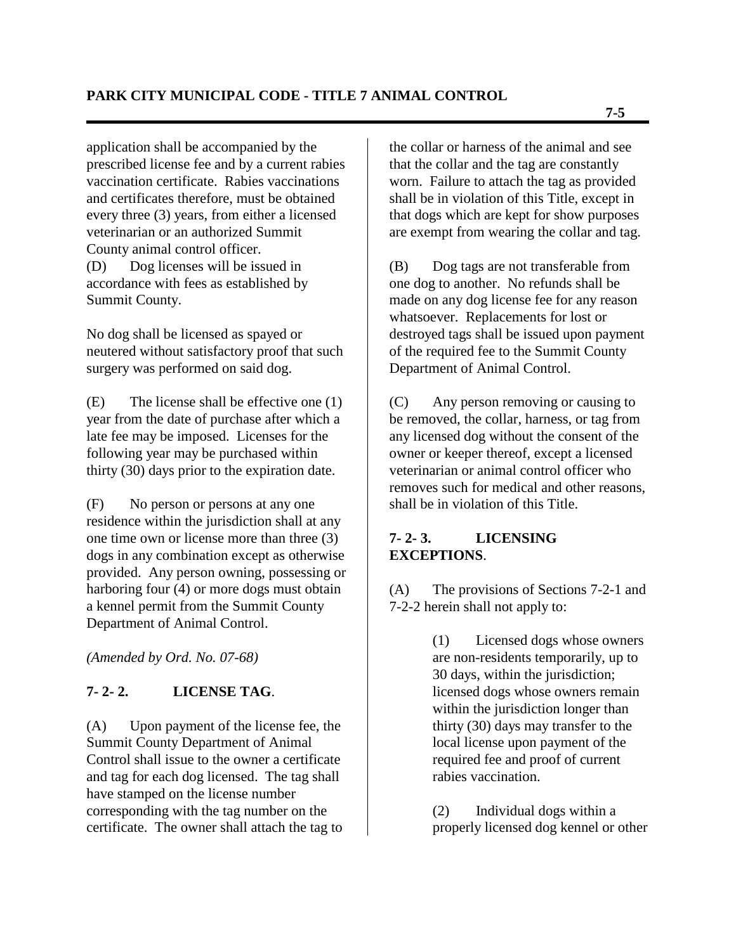application shall be accompanied by the prescribed license fee and by a current rabies vaccination certificate. Rabies vaccinations and certificates therefore, must be obtained every three (3) years, from either a licensed veterinarian or an authorized Summit County animal control officer. (D) Dog licenses will be issued in

accordance with fees as established by Summit County.

No dog shall be licensed as spayed or neutered without satisfactory proof that such surgery was performed on said dog.

(E) The license shall be effective one (1) year from the date of purchase after which a late fee may be imposed. Licenses for the following year may be purchased within thirty (30) days prior to the expiration date.

(F) No person or persons at any one residence within the jurisdiction shall at any one time own or license more than three (3) dogs in any combination except as otherwise provided. Any person owning, possessing or harboring four (4) or more dogs must obtain a kennel permit from the Summit County Department of Animal Control.

*(Amended by Ord. No. 07-68)*

# **7- 2- 2. LICENSE TAG**.

(A) Upon payment of the license fee, the Summit County Department of Animal Control shall issue to the owner a certificate and tag for each dog licensed. The tag shall have stamped on the license number corresponding with the tag number on the certificate. The owner shall attach the tag to the collar or harness of the animal and see that the collar and the tag are constantly worn. Failure to attach the tag as provided shall be in violation of this Title, except in that dogs which are kept for show purposes are exempt from wearing the collar and tag.

(B) Dog tags are not transferable from one dog to another. No refunds shall be made on any dog license fee for any reason whatsoever. Replacements for lost or destroyed tags shall be issued upon payment of the required fee to the Summit County Department of Animal Control.

(C) Any person removing or causing to be removed, the collar, harness, or tag from any licensed dog without the consent of the owner or keeper thereof, except a licensed veterinarian or animal control officer who removes such for medical and other reasons, shall be in violation of this Title.

## **7- 2- 3. LICENSING EXCEPTIONS**.

(A) The provisions of Sections 7-2-1 and 7-2-2 herein shall not apply to:

> (1) Licensed dogs whose owners are non-residents temporarily, up to 30 days, within the jurisdiction; licensed dogs whose owners remain within the jurisdiction longer than thirty (30) days may transfer to the local license upon payment of the required fee and proof of current rabies vaccination.

(2) Individual dogs within a properly licensed dog kennel or other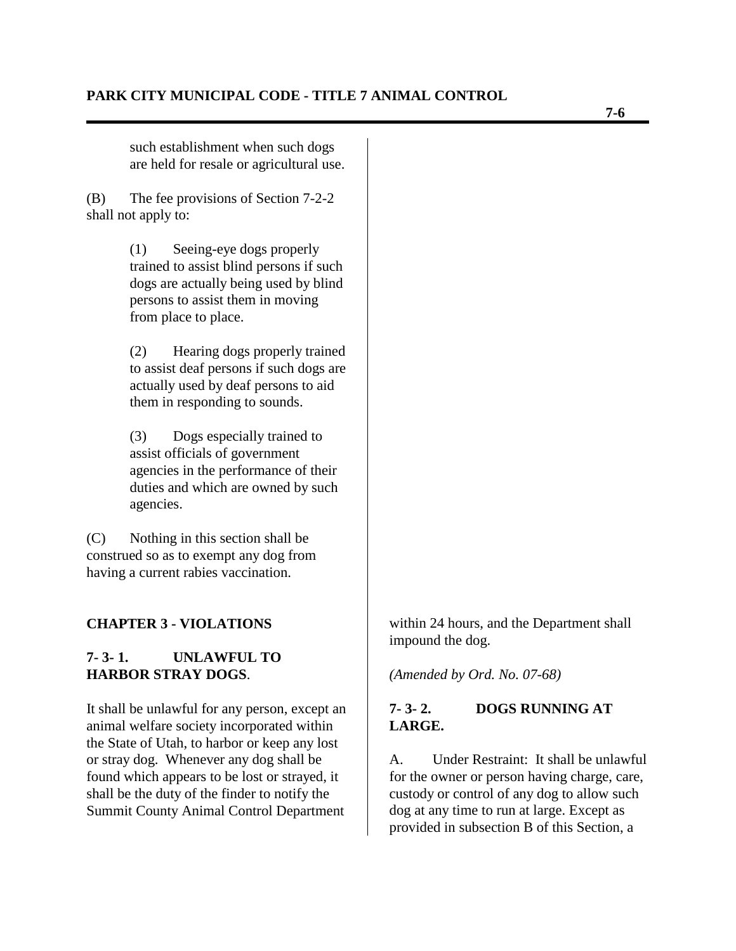such establishment when such dogs are held for resale or agricultural use.

(B) The fee provisions of Section 7-2-2 shall not apply to:

> (1) Seeing-eye dogs properly trained to assist blind persons if such dogs are actually being used by blind persons to assist them in moving from place to place.

(2) Hearing dogs properly trained to assist deaf persons if such dogs are actually used by deaf persons to aid them in responding to sounds.

(3) Dogs especially trained to assist officials of government agencies in the performance of their duties and which are owned by such agencies.

(C) Nothing in this section shall be construed so as to exempt any dog from having a current rabies vaccination.

#### **CHAPTER 3 - VIOLATIONS**

#### **7- 3- 1. UNLAWFUL TO HARBOR STRAY DOGS**.

It shall be unlawful for any person, except an animal welfare society incorporated within the State of Utah, to harbor or keep any lost or stray dog. Whenever any dog shall be found which appears to be lost or strayed, it shall be the duty of the finder to notify the Summit County Animal Control Department

within 24 hours, and the Department shall impound the dog.

*(Amended by Ord. No. 07-68)*

#### **7- 3- 2. DOGS RUNNING AT LARGE.**

A. Under Restraint: It shall be unlawful for the owner or person having charge, care, custody or control of any dog to allow such dog at any time to run at large. Except as provided in subsection B of this Section, a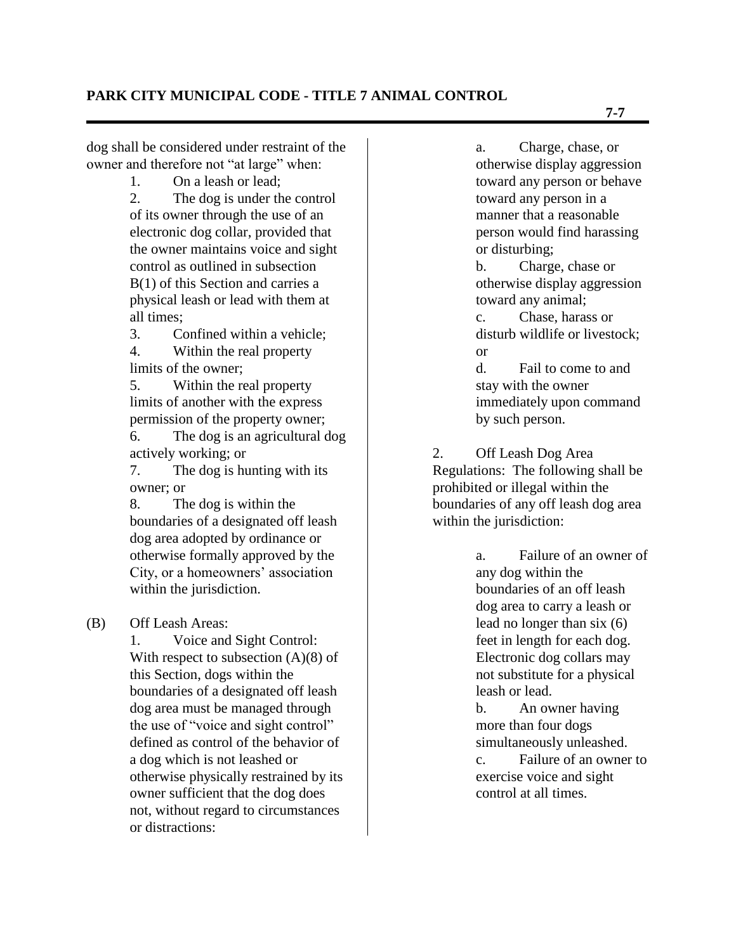dog shall be considered under restraint of the owner and therefore not "at large" when:

1. On a leash or lead;

2. The dog is under the control of its owner through the use of an electronic dog collar, provided that the owner maintains voice and sight control as outlined in subsection B(1) of this Section and carries a physical leash or lead with them at all times;

3. Confined within a vehicle; 4. Within the real property

limits of the owner;

5. Within the real property limits of another with the express permission of the property owner;

6. The dog is an agricultural dog actively working; or

7. The dog is hunting with its owner; or

8. The dog is within the boundaries of a designated off leash dog area adopted by ordinance or otherwise formally approved by the City, or a homeowners' association within the jurisdiction.

#### (B) Off Leash Areas:

1. Voice and Sight Control: With respect to subsection  $(A)(8)$  of this Section, dogs within the boundaries of a designated off leash dog area must be managed through the use of "voice and sight control" defined as control of the behavior of a dog which is not leashed or otherwise physically restrained by its owner sufficient that the dog does not, without regard to circumstances or distractions:

a. Charge, chase, or otherwise display aggression toward any person or behave toward any person in a manner that a reasonable person would find harassing or disturbing;

b. Charge, chase or otherwise display aggression toward any animal;

c. Chase, harass or disturb wildlife or livestock; or

d. Fail to come to and stay with the owner immediately upon command by such person.

2. Off Leash Dog Area Regulations: The following shall be prohibited or illegal within the boundaries of any off leash dog area within the jurisdiction:

> a. Failure of an owner of any dog within the boundaries of an off leash dog area to carry a leash or lead no longer than six (6) feet in length for each dog. Electronic dog collars may not substitute for a physical leash or lead.

> b. An owner having more than four dogs simultaneously unleashed. c. Failure of an owner to exercise voice and sight control at all times.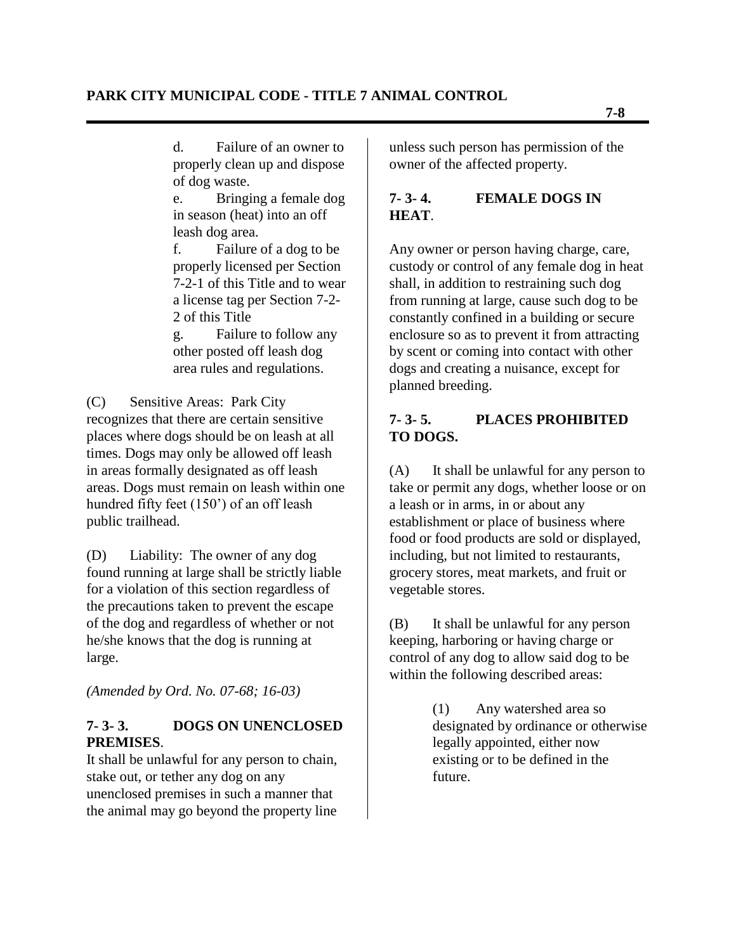d. Failure of an owner to properly clean up and dispose of dog waste.

e. Bringing a female dog in season (heat) into an off leash dog area.

f. Failure of a dog to be properly licensed per Section 7-2-1 of this Title and to wear a license tag per Section 7-2- 2 of this Title

g. Failure to follow any other posted off leash dog area rules and regulations.

(C) Sensitive Areas: Park City recognizes that there are certain sensitive places where dogs should be on leash at all times. Dogs may only be allowed off leash in areas formally designated as off leash areas. Dogs must remain on leash within one hundred fifty feet (150") of an off leash public trailhead.

(D) Liability: The owner of any dog found running at large shall be strictly liable for a violation of this section regardless of the precautions taken to prevent the escape of the dog and regardless of whether or not he/she knows that the dog is running at large.

*(Amended by Ord. No. 07-68; 16-03)*

## **7- 3- 3. DOGS ON UNENCLOSED PREMISES**.

It shall be unlawful for any person to chain, stake out, or tether any dog on any unenclosed premises in such a manner that the animal may go beyond the property line

unless such person has permission of the owner of the affected property.

# **7- 3- 4. FEMALE DOGS IN HEAT**.

Any owner or person having charge, care, custody or control of any female dog in heat shall, in addition to restraining such dog from running at large, cause such dog to be constantly confined in a building or secure enclosure so as to prevent it from attracting by scent or coming into contact with other dogs and creating a nuisance, except for planned breeding.

## **7- 3- 5. PLACES PROHIBITED TO DOGS.**

(A) It shall be unlawful for any person to take or permit any dogs, whether loose or on a leash or in arms, in or about any establishment or place of business where food or food products are sold or displayed, including, but not limited to restaurants, grocery stores, meat markets, and fruit or vegetable stores.

(B) It shall be unlawful for any person keeping, harboring or having charge or control of any dog to allow said dog to be within the following described areas:

> (1) Any watershed area so designated by ordinance or otherwise legally appointed, either now existing or to be defined in the future.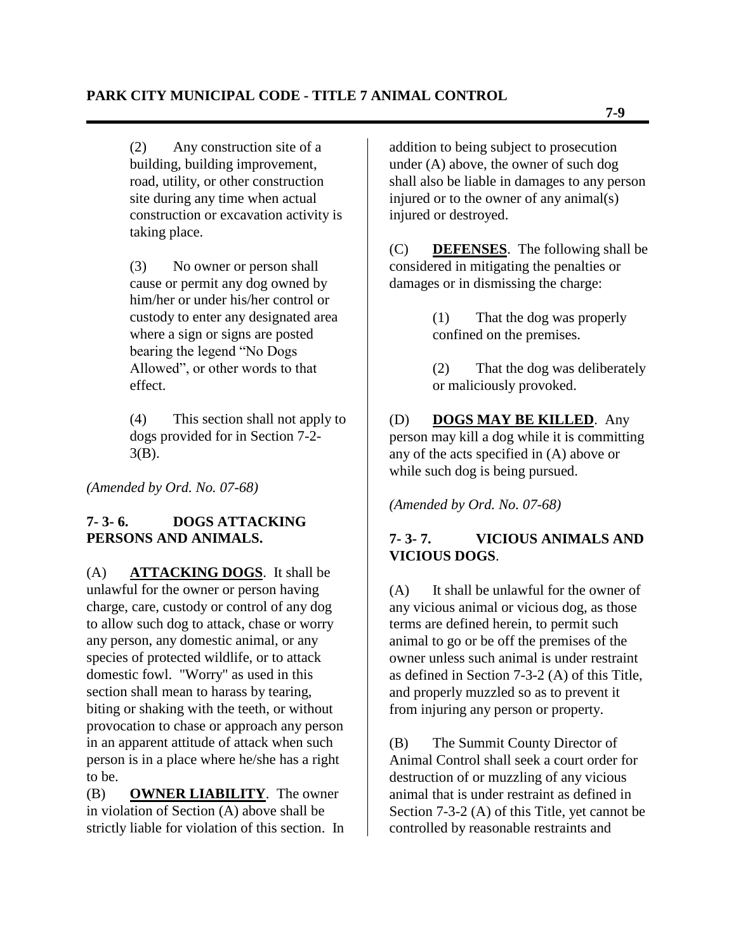(2) Any construction site of a building, building improvement, road, utility, or other construction site during any time when actual construction or excavation activity is taking place.

(3) No owner or person shall cause or permit any dog owned by him/her or under his/her control or custody to enter any designated area where a sign or signs are posted bearing the legend "No Dogs Allowed", or other words to that effect.

(4) This section shall not apply to dogs provided for in Section 7-2- 3(B).

*(Amended by Ord. No. 07-68)*

## **7- 3- 6. DOGS ATTACKING PERSONS AND ANIMALS.**

(A) **ATTACKING DOGS**. It shall be unlawful for the owner or person having charge, care, custody or control of any dog to allow such dog to attack, chase or worry any person, any domestic animal, or any species of protected wildlife, or to attack domestic fowl. "Worry" as used in this section shall mean to harass by tearing, biting or shaking with the teeth, or without provocation to chase or approach any person in an apparent attitude of attack when such person is in a place where he/she has a right to be.

(B) **OWNER LIABILITY**. The owner in violation of Section (A) above shall be strictly liable for violation of this section. In addition to being subject to prosecution under (A) above, the owner of such dog shall also be liable in damages to any person injured or to the owner of any animal(s) injured or destroyed.

(C) **DEFENSES**. The following shall be considered in mitigating the penalties or damages or in dismissing the charge:

> (1) That the dog was properly confined on the premises.

(2) That the dog was deliberately or maliciously provoked.

(D) **DOGS MAY BE KILLED**. Any person may kill a dog while it is committing any of the acts specified in (A) above or while such dog is being pursued.

*(Amended by Ord. No. 07-68)* 

# **7- 3- 7. VICIOUS ANIMALS AND VICIOUS DOGS**.

(A) It shall be unlawful for the owner of any vicious animal or vicious dog, as those terms are defined herein, to permit such animal to go or be off the premises of the owner unless such animal is under restraint as defined in Section 7-3-2 (A) of this Title, and properly muzzled so as to prevent it from injuring any person or property.

(B) The Summit County Director of Animal Control shall seek a court order for destruction of or muzzling of any vicious animal that is under restraint as defined in Section 7-3-2 (A) of this Title, yet cannot be controlled by reasonable restraints and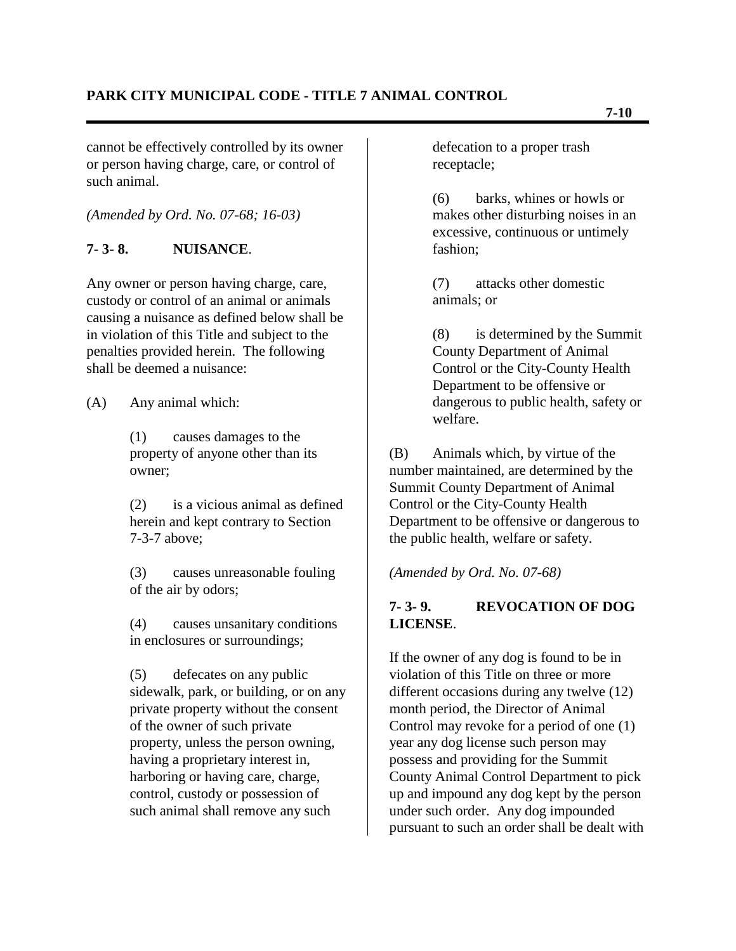cannot be effectively controlled by its owner or person having charge, care, or control of such animal.

*(Amended by Ord. No. 07-68; 16-03)*

## **7- 3- 8. NUISANCE**.

Any owner or person having charge, care, custody or control of an animal or animals causing a nuisance as defined below shall be in violation of this Title and subject to the penalties provided herein. The following shall be deemed a nuisance:

(A) Any animal which:

(1) causes damages to the property of anyone other than its owner;

(2) is a vicious animal as defined herein and kept contrary to Section 7-3-7 above;

(3) causes unreasonable fouling of the air by odors;

(4) causes unsanitary conditions in enclosures or surroundings;

(5) defecates on any public sidewalk, park, or building, or on any private property without the consent of the owner of such private property, unless the person owning, having a proprietary interest in, harboring or having care, charge, control, custody or possession of such animal shall remove any such

defecation to a proper trash receptacle;

(6) barks, whines or howls or makes other disturbing noises in an excessive, continuous or untimely fashion;

(7) attacks other domestic animals; or

(8) is determined by the Summit County Department of Animal Control or the City-County Health Department to be offensive or dangerous to public health, safety or welfare.

(B) Animals which, by virtue of the number maintained, are determined by the Summit County Department of Animal Control or the City-County Health Department to be offensive or dangerous to the public health, welfare or safety.

*(Amended by Ord. No. 07-68)*

# **7- 3- 9. REVOCATION OF DOG LICENSE**.

If the owner of any dog is found to be in violation of this Title on three or more different occasions during any twelve (12) month period, the Director of Animal Control may revoke for a period of one (1) year any dog license such person may possess and providing for the Summit County Animal Control Department to pick up and impound any dog kept by the person under such order. Any dog impounded pursuant to such an order shall be dealt with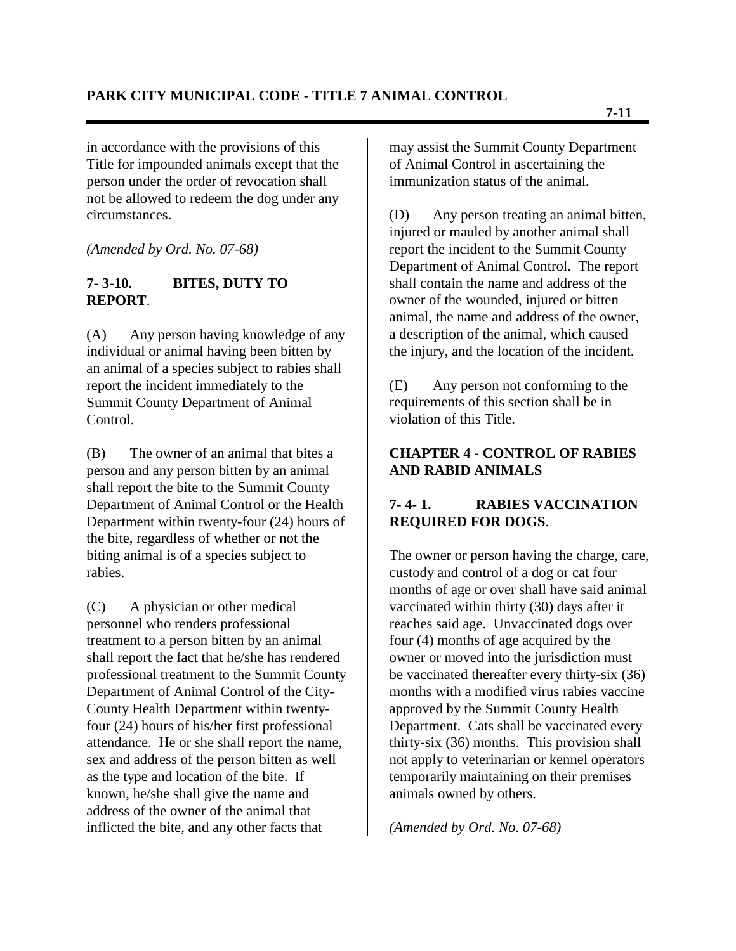in accordance with the provisions of this Title for impounded animals except that the person under the order of revocation shall not be allowed to redeem the dog under any circumstances.

*(Amended by Ord. No. 07-68)*

#### **7- 3-10. BITES, DUTY TO REPORT**.

(A) Any person having knowledge of any individual or animal having been bitten by an animal of a species subject to rabies shall report the incident immediately to the Summit County Department of Animal Control.

(B) The owner of an animal that bites a person and any person bitten by an animal shall report the bite to the Summit County Department of Animal Control or the Health Department within twenty-four (24) hours of the bite, regardless of whether or not the biting animal is of a species subject to rabies.

(C) A physician or other medical personnel who renders professional treatment to a person bitten by an animal shall report the fact that he/she has rendered professional treatment to the Summit County Department of Animal Control of the City-County Health Department within twentyfour (24) hours of his/her first professional attendance. He or she shall report the name, sex and address of the person bitten as well as the type and location of the bite. If known, he/she shall give the name and address of the owner of the animal that inflicted the bite, and any other facts that

may assist the Summit County Department of Animal Control in ascertaining the immunization status of the animal.

(D) Any person treating an animal bitten, injured or mauled by another animal shall report the incident to the Summit County Department of Animal Control. The report shall contain the name and address of the owner of the wounded, injured or bitten animal, the name and address of the owner, a description of the animal, which caused the injury, and the location of the incident.

(E) Any person not conforming to the requirements of this section shall be in violation of this Title.

#### **CHAPTER 4 - CONTROL OF RABIES AND RABID ANIMALS**

## **7- 4- 1. RABIES VACCINATION REQUIRED FOR DOGS**.

The owner or person having the charge, care, custody and control of a dog or cat four months of age or over shall have said animal vaccinated within thirty (30) days after it reaches said age. Unvaccinated dogs over four (4) months of age acquired by the owner or moved into the jurisdiction must be vaccinated thereafter every thirty-six (36) months with a modified virus rabies vaccine approved by the Summit County Health Department. Cats shall be vaccinated every thirty-six (36) months. This provision shall not apply to veterinarian or kennel operators temporarily maintaining on their premises animals owned by others.

*(Amended by Ord. No. 07-68)*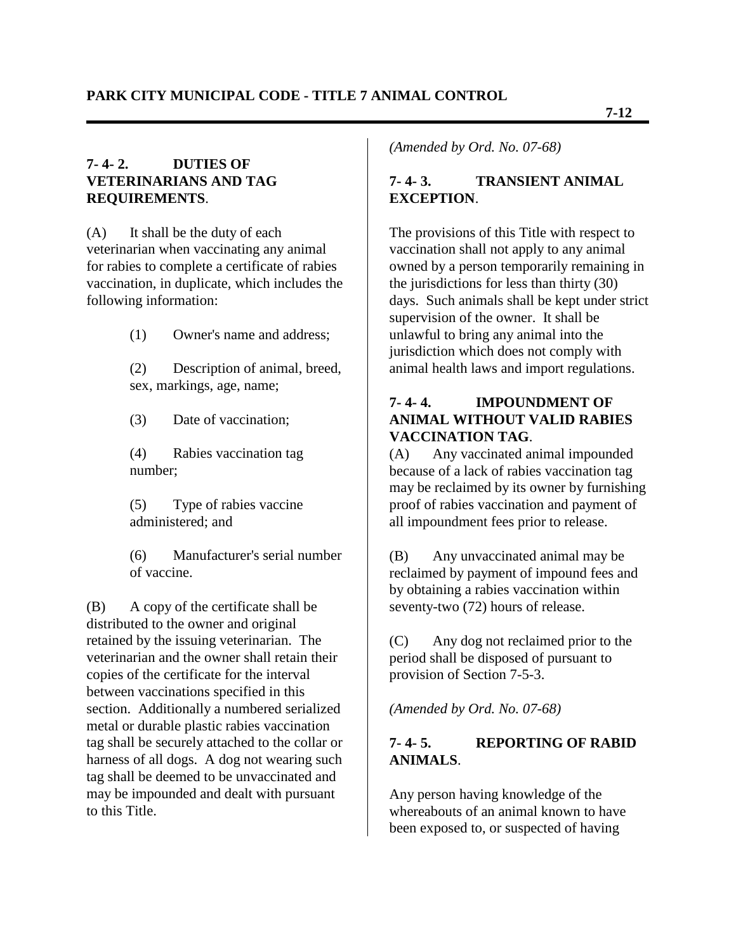#### **7- 4- 2. DUTIES OF VETERINARIANS AND TAG REQUIREMENTS**.

(A) It shall be the duty of each veterinarian when vaccinating any animal for rabies to complete a certificate of rabies vaccination, in duplicate, which includes the following information:

(1) Owner's name and address;

(2) Description of animal, breed, sex, markings, age, name;

(3) Date of vaccination;

(4) Rabies vaccination tag number;

(5) Type of rabies vaccine administered; and

(6) Manufacturer's serial number of vaccine.

(B) A copy of the certificate shall be distributed to the owner and original retained by the issuing veterinarian. The veterinarian and the owner shall retain their copies of the certificate for the interval between vaccinations specified in this section. Additionally a numbered serialized metal or durable plastic rabies vaccination tag shall be securely attached to the collar or harness of all dogs. A dog not wearing such tag shall be deemed to be unvaccinated and may be impounded and dealt with pursuant to this Title.

*(Amended by Ord. No. 07-68)*

# **7- 4- 3. TRANSIENT ANIMAL EXCEPTION**.

The provisions of this Title with respect to vaccination shall not apply to any animal owned by a person temporarily remaining in the jurisdictions for less than thirty (30) days. Such animals shall be kept under strict supervision of the owner. It shall be unlawful to bring any animal into the jurisdiction which does not comply with animal health laws and import regulations.

#### **7- 4- 4. IMPOUNDMENT OF ANIMAL WITHOUT VALID RABIES VACCINATION TAG**.

(A) Any vaccinated animal impounded because of a lack of rabies vaccination tag may be reclaimed by its owner by furnishing proof of rabies vaccination and payment of all impoundment fees prior to release.

(B) Any unvaccinated animal may be reclaimed by payment of impound fees and by obtaining a rabies vaccination within seventy-two (72) hours of release.

(C) Any dog not reclaimed prior to the period shall be disposed of pursuant to provision of Section 7-5-3.

*(Amended by Ord. No. 07-68)*

## **7- 4- 5. REPORTING OF RABID ANIMALS**.

Any person having knowledge of the whereabouts of an animal known to have been exposed to, or suspected of having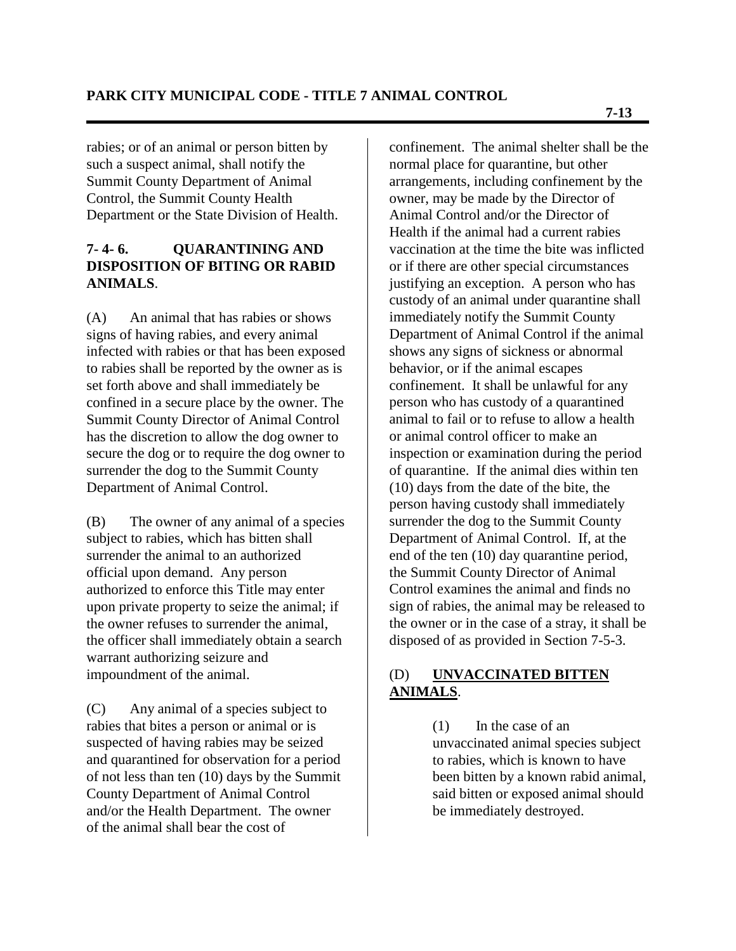rabies; or of an animal or person bitten by such a suspect animal, shall notify the Summit County Department of Animal Control, the Summit County Health Department or the State Division of Health.

#### **7- 4- 6. QUARANTINING AND DISPOSITION OF BITING OR RABID ANIMALS**.

(A) An animal that has rabies or shows signs of having rabies, and every animal infected with rabies or that has been exposed to rabies shall be reported by the owner as is set forth above and shall immediately be confined in a secure place by the owner. The Summit County Director of Animal Control has the discretion to allow the dog owner to secure the dog or to require the dog owner to surrender the dog to the Summit County Department of Animal Control.

(B) The owner of any animal of a species subject to rabies, which has bitten shall surrender the animal to an authorized official upon demand. Any person authorized to enforce this Title may enter upon private property to seize the animal; if the owner refuses to surrender the animal, the officer shall immediately obtain a search warrant authorizing seizure and impoundment of the animal.

(C) Any animal of a species subject to rabies that bites a person or animal or is suspected of having rabies may be seized and quarantined for observation for a period of not less than ten (10) days by the Summit County Department of Animal Control and/or the Health Department. The owner of the animal shall bear the cost of

confinement. The animal shelter shall be the normal place for quarantine, but other arrangements, including confinement by the owner, may be made by the Director of Animal Control and/or the Director of Health if the animal had a current rabies vaccination at the time the bite was inflicted or if there are other special circumstances justifying an exception. A person who has custody of an animal under quarantine shall immediately notify the Summit County Department of Animal Control if the animal shows any signs of sickness or abnormal behavior, or if the animal escapes confinement. It shall be unlawful for any person who has custody of a quarantined animal to fail or to refuse to allow a health or animal control officer to make an inspection or examination during the period of quarantine. If the animal dies within ten (10) days from the date of the bite, the person having custody shall immediately surrender the dog to the Summit County Department of Animal Control. If, at the end of the ten (10) day quarantine period, the Summit County Director of Animal Control examines the animal and finds no sign of rabies, the animal may be released to the owner or in the case of a stray, it shall be disposed of as provided in Section 7-5-3.

## (D) **UNVACCINATED BITTEN ANIMALS**.

(1) In the case of an unvaccinated animal species subject to rabies, which is known to have been bitten by a known rabid animal, said bitten or exposed animal should be immediately destroyed.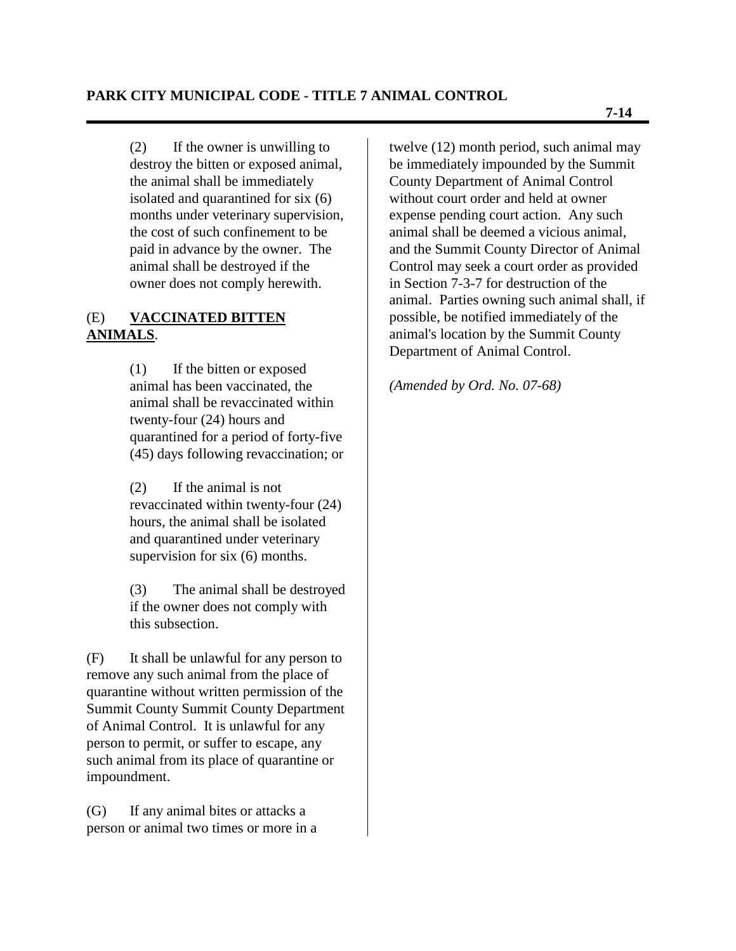(2) If the owner is unwilling to destroy the bitten or exposed animal, the animal shall be immediately isolated and quarantined for six (6) months under veterinary supervision, the cost of such confinement to be paid in advance by the owner. The animal shall be destroyed if the owner does not comply herewith.

## (E) **VACCINATED BITTEN ANIMALS**.

(1) If the bitten or exposed animal has been vaccinated, the animal shall be revaccinated within twenty-four (24) hours and quarantined for a period of forty-five (45) days following revaccination; or

(2) If the animal is not revaccinated within twenty-four (24) hours, the animal shall be isolated and quarantined under veterinary supervision for six (6) months.

(3) The animal shall be destroyed if the owner does not comply with this subsection.

(F) It shall be unlawful for any person to remove any such animal from the place of quarantine without written permission of the Summit County Summit County Department of Animal Control. It is unlawful for any person to permit, or suffer to escape, any such animal from its place of quarantine or impoundment.

(G) If any animal bites or attacks a person or animal two times or more in a twelve (12) month period, such animal may be immediately impounded by the Summit County Department of Animal Control without court order and held at owner expense pending court action. Any such animal shall be deemed a vicious animal, and the Summit County Director of Animal Control may seek a court order as provided in Section 7-3-7 for destruction of the animal. Parties owning such animal shall, if possible, be notified immediately of the animal's location by the Summit County Department of Animal Control.

*(Amended by Ord. No. 07-68)*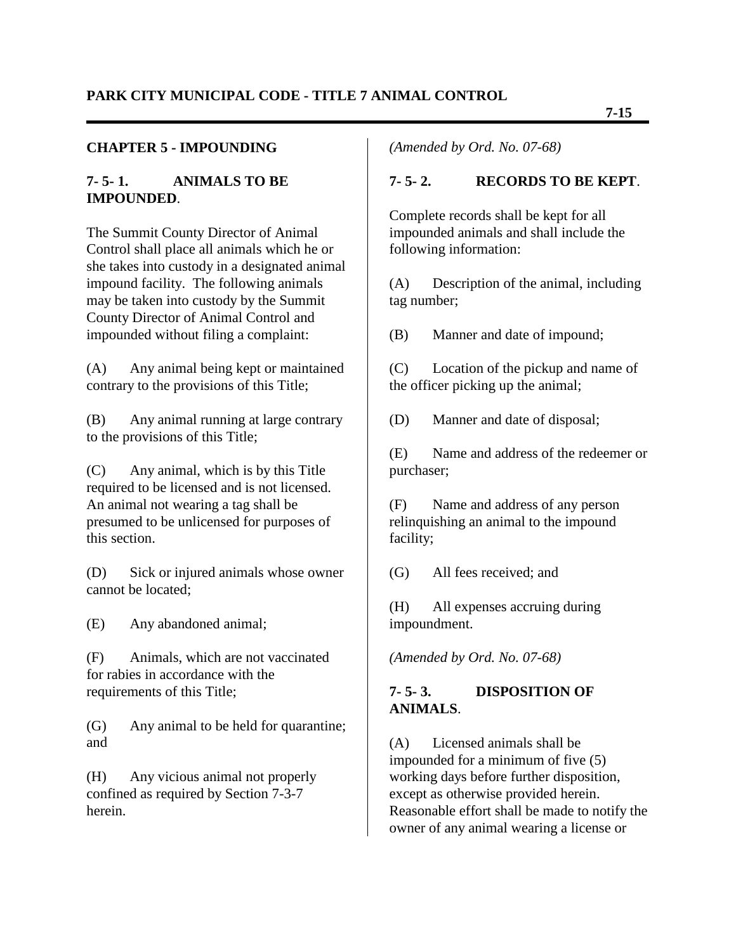#### **CHAPTER 5 - IMPOUNDING**

#### **7- 5- 1. ANIMALS TO BE IMPOUNDED**.

The Summit County Director of Animal Control shall place all animals which he or she takes into custody in a designated animal impound facility. The following animals may be taken into custody by the Summit County Director of Animal Control and impounded without filing a complaint:

(A) Any animal being kept or maintained contrary to the provisions of this Title;

(B) Any animal running at large contrary to the provisions of this Title;

(C) Any animal, which is by this Title required to be licensed and is not licensed. An animal not wearing a tag shall be presumed to be unlicensed for purposes of this section.

(D) Sick or injured animals whose owner cannot be located;

(E) Any abandoned animal;

(F) Animals, which are not vaccinated for rabies in accordance with the requirements of this Title;

(G) Any animal to be held for quarantine; and

(H) Any vicious animal not properly confined as required by Section 7-3-7 herein.

*(Amended by Ord. No. 07-68)*

#### **7- 5- 2. RECORDS TO BE KEPT**.

Complete records shall be kept for all impounded animals and shall include the following information:

(A) Description of the animal, including tag number;

(B) Manner and date of impound;

(C) Location of the pickup and name of the officer picking up the animal;

(D) Manner and date of disposal;

(E) Name and address of the redeemer or purchaser;

(F) Name and address of any person relinquishing an animal to the impound facility;

(G) All fees received; and

(H) All expenses accruing during impoundment.

*(Amended by Ord. No. 07-68)*

#### **7- 5- 3. DISPOSITION OF ANIMALS**.

(A) Licensed animals shall be impounded for a minimum of five (5) working days before further disposition, except as otherwise provided herein. Reasonable effort shall be made to notify the owner of any animal wearing a license or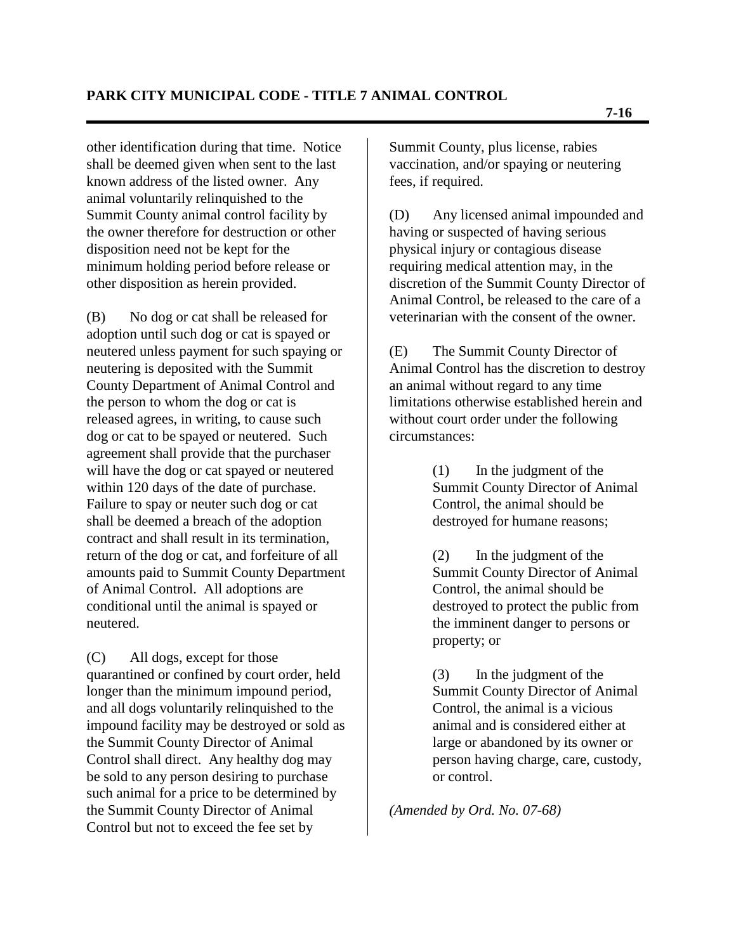other identification during that time. Notice shall be deemed given when sent to the last known address of the listed owner. Any animal voluntarily relinquished to the Summit County animal control facility by the owner therefore for destruction or other disposition need not be kept for the minimum holding period before release or other disposition as herein provided.

(B) No dog or cat shall be released for adoption until such dog or cat is spayed or neutered unless payment for such spaying or neutering is deposited with the Summit County Department of Animal Control and the person to whom the dog or cat is released agrees, in writing, to cause such dog or cat to be spayed or neutered. Such agreement shall provide that the purchaser will have the dog or cat spayed or neutered within 120 days of the date of purchase. Failure to spay or neuter such dog or cat shall be deemed a breach of the adoption contract and shall result in its termination, return of the dog or cat, and forfeiture of all amounts paid to Summit County Department of Animal Control. All adoptions are conditional until the animal is spayed or neutered.

(C) All dogs, except for those quarantined or confined by court order, held longer than the minimum impound period, and all dogs voluntarily relinquished to the impound facility may be destroyed or sold as the Summit County Director of Animal Control shall direct. Any healthy dog may be sold to any person desiring to purchase such animal for a price to be determined by the Summit County Director of Animal Control but not to exceed the fee set by

Summit County, plus license, rabies vaccination, and/or spaying or neutering fees, if required.

(D) Any licensed animal impounded and having or suspected of having serious physical injury or contagious disease requiring medical attention may, in the discretion of the Summit County Director of Animal Control, be released to the care of a veterinarian with the consent of the owner.

(E) The Summit County Director of Animal Control has the discretion to destroy an animal without regard to any time limitations otherwise established herein and without court order under the following circumstances:

> (1) In the judgment of the Summit County Director of Animal Control, the animal should be destroyed for humane reasons;

> (2) In the judgment of the Summit County Director of Animal Control, the animal should be destroyed to protect the public from the imminent danger to persons or property; or

(3) In the judgment of the Summit County Director of Animal Control, the animal is a vicious animal and is considered either at large or abandoned by its owner or person having charge, care, custody, or control.

*(Amended by Ord. No. 07-68)*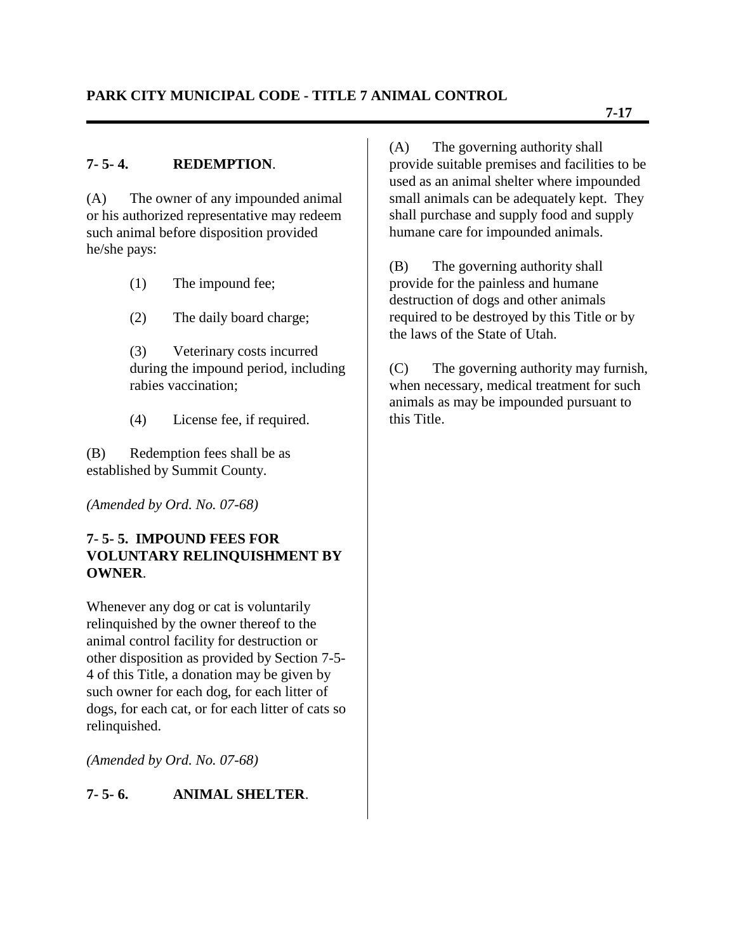## **7- 5- 4. REDEMPTION**.

(A) The owner of any impounded animal or his authorized representative may redeem such animal before disposition provided he/she pays:

- (1) The impound fee;
- (2) The daily board charge;

(3) Veterinary costs incurred during the impound period, including rabies vaccination;

(4) License fee, if required.

(B) Redemption fees shall be as established by Summit County.

*(Amended by Ord. No. 07-68)*

#### **7- 5- 5. IMPOUND FEES FOR VOLUNTARY RELINQUISHMENT BY OWNER**.

Whenever any dog or cat is voluntarily relinquished by the owner thereof to the animal control facility for destruction or other disposition as provided by Section 7-5- 4 of this Title, a donation may be given by such owner for each dog, for each litter of dogs, for each cat, or for each litter of cats so relinquished.

*(Amended by Ord. No. 07-68)*

# **7- 5- 6. ANIMAL SHELTER**.

(A) The governing authority shall provide suitable premises and facilities to be used as an animal shelter where impounded small animals can be adequately kept. They shall purchase and supply food and supply humane care for impounded animals.

(B) The governing authority shall provide for the painless and humane destruction of dogs and other animals required to be destroyed by this Title or by the laws of the State of Utah.

(C) The governing authority may furnish, when necessary, medical treatment for such animals as may be impounded pursuant to this Title.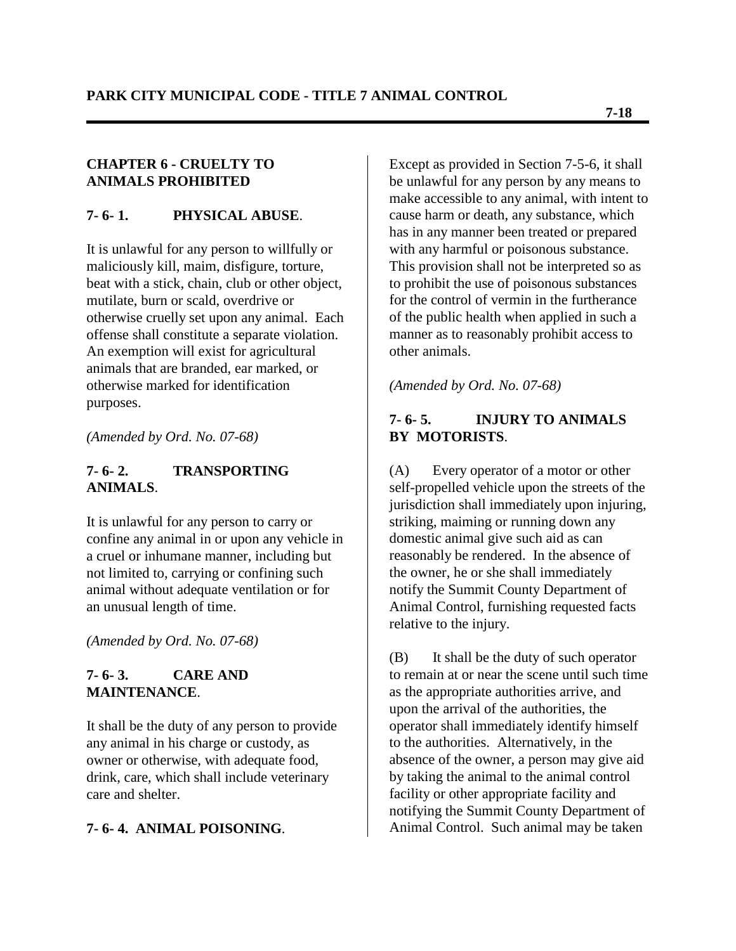#### **CHAPTER 6 - CRUELTY TO ANIMALS PROHIBITED**

#### **7- 6- 1. PHYSICAL ABUSE**.

It is unlawful for any person to willfully or maliciously kill, maim, disfigure, torture, beat with a stick, chain, club or other object, mutilate, burn or scald, overdrive or otherwise cruelly set upon any animal. Each offense shall constitute a separate violation. An exemption will exist for agricultural animals that are branded, ear marked, or otherwise marked for identification purposes.

*(Amended by Ord. No. 07-68)*

#### **7- 6- 2. TRANSPORTING ANIMALS**.

It is unlawful for any person to carry or confine any animal in or upon any vehicle in a cruel or inhumane manner, including but not limited to, carrying or confining such animal without adequate ventilation or for an unusual length of time.

*(Amended by Ord. No. 07-68)*

#### **7- 6- 3. CARE AND MAINTENANCE**.

It shall be the duty of any person to provide any animal in his charge or custody, as owner or otherwise, with adequate food, drink, care, which shall include veterinary care and shelter.

## **7- 6- 4. ANIMAL POISONING**.

Except as provided in Section 7-5-6, it shall be unlawful for any person by any means to make accessible to any animal, with intent to cause harm or death, any substance, which has in any manner been treated or prepared with any harmful or poisonous substance. This provision shall not be interpreted so as to prohibit the use of poisonous substances for the control of vermin in the furtherance of the public health when applied in such a manner as to reasonably prohibit access to other animals.

*(Amended by Ord. No. 07-68)*

## **7- 6- 5. INJURY TO ANIMALS BY MOTORISTS**.

(A) Every operator of a motor or other self-propelled vehicle upon the streets of the jurisdiction shall immediately upon injuring, striking, maiming or running down any domestic animal give such aid as can reasonably be rendered. In the absence of the owner, he or she shall immediately notify the Summit County Department of Animal Control, furnishing requested facts relative to the injury.

(B) It shall be the duty of such operator to remain at or near the scene until such time as the appropriate authorities arrive, and upon the arrival of the authorities, the operator shall immediately identify himself to the authorities. Alternatively, in the absence of the owner, a person may give aid by taking the animal to the animal control facility or other appropriate facility and notifying the Summit County Department of Animal Control. Such animal may be taken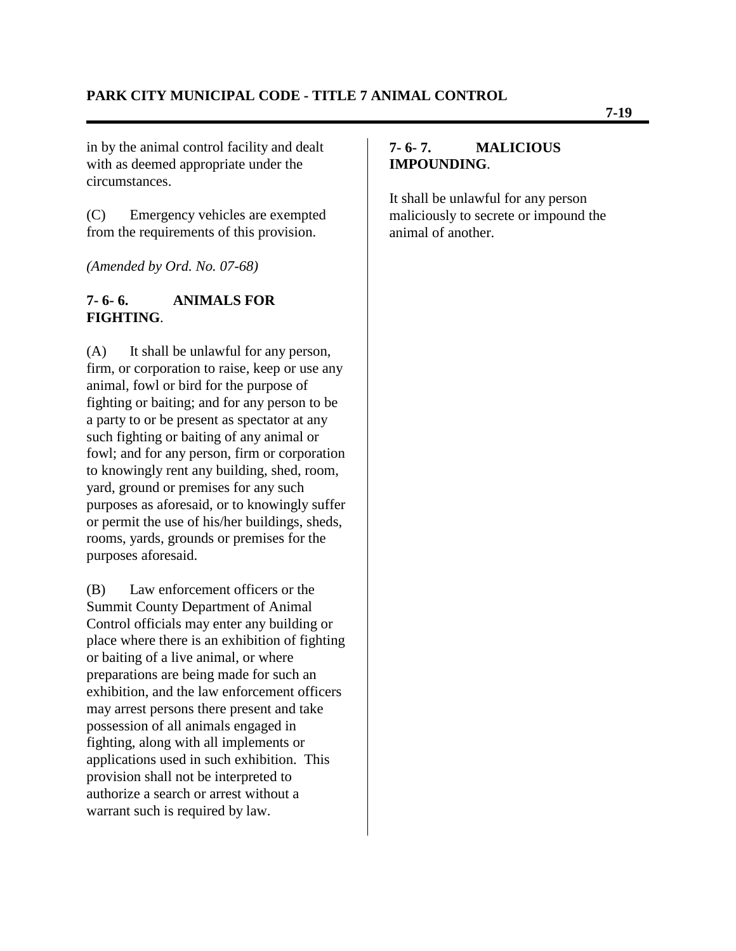in by the animal control facility and dealt with as deemed appropriate under the circumstances.

(C) Emergency vehicles are exempted from the requirements of this provision.

*(Amended by Ord. No. 07-68)*

#### **7- 6- 6. ANIMALS FOR FIGHTING**.

(A) It shall be unlawful for any person, firm, or corporation to raise, keep or use any animal, fowl or bird for the purpose of fighting or baiting; and for any person to be a party to or be present as spectator at any such fighting or baiting of any animal or fowl; and for any person, firm or corporation to knowingly rent any building, shed, room, yard, ground or premises for any such purposes as aforesaid, or to knowingly suffer or permit the use of his/her buildings, sheds, rooms, yards, grounds or premises for the purposes aforesaid.

(B) Law enforcement officers or the Summit County Department of Animal Control officials may enter any building or place where there is an exhibition of fighting or baiting of a live animal, or where preparations are being made for such an exhibition, and the law enforcement officers may arrest persons there present and take possession of all animals engaged in fighting, along with all implements or applications used in such exhibition. This provision shall not be interpreted to authorize a search or arrest without a warrant such is required by law.

#### **7- 6- 7. MALICIOUS IMPOUNDING**.

It shall be unlawful for any person maliciously to secrete or impound the animal of another.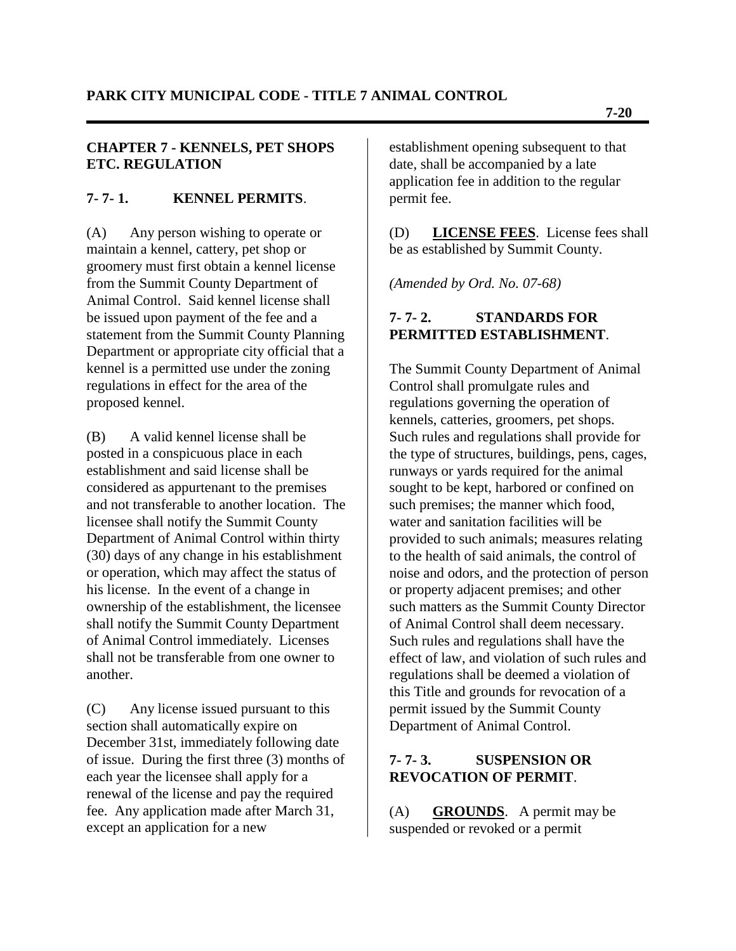## **CHAPTER 7 - KENNELS, PET SHOPS ETC. REGULATION**

# **7- 7- 1. KENNEL PERMITS**.

(A) Any person wishing to operate or maintain a kennel, cattery, pet shop or groomery must first obtain a kennel license from the Summit County Department of Animal Control. Said kennel license shall be issued upon payment of the fee and a statement from the Summit County Planning Department or appropriate city official that a kennel is a permitted use under the zoning regulations in effect for the area of the proposed kennel.

(B) A valid kennel license shall be posted in a conspicuous place in each establishment and said license shall be considered as appurtenant to the premises and not transferable to another location. The licensee shall notify the Summit County Department of Animal Control within thirty (30) days of any change in his establishment or operation, which may affect the status of his license. In the event of a change in ownership of the establishment, the licensee shall notify the Summit County Department of Animal Control immediately. Licenses shall not be transferable from one owner to another.

(C) Any license issued pursuant to this section shall automatically expire on December 31st, immediately following date of issue. During the first three (3) months of each year the licensee shall apply for a renewal of the license and pay the required fee. Any application made after March 31, except an application for a new

establishment opening subsequent to that date, shall be accompanied by a late application fee in addition to the regular permit fee.

(D) **LICENSE FEES**. License fees shall be as established by Summit County.

*(Amended by Ord. No. 07-68)*

# **7- 7- 2. STANDARDS FOR PERMITTED ESTABLISHMENT**.

The Summit County Department of Animal Control shall promulgate rules and regulations governing the operation of kennels, catteries, groomers, pet shops. Such rules and regulations shall provide for the type of structures, buildings, pens, cages, runways or yards required for the animal sought to be kept, harbored or confined on such premises; the manner which food, water and sanitation facilities will be provided to such animals; measures relating to the health of said animals, the control of noise and odors, and the protection of person or property adjacent premises; and other such matters as the Summit County Director of Animal Control shall deem necessary. Such rules and regulations shall have the effect of law, and violation of such rules and regulations shall be deemed a violation of this Title and grounds for revocation of a permit issued by the Summit County Department of Animal Control.

## **7- 7- 3. SUSPENSION OR REVOCATION OF PERMIT**.

(A) **GROUNDS**. A permit may be suspended or revoked or a permit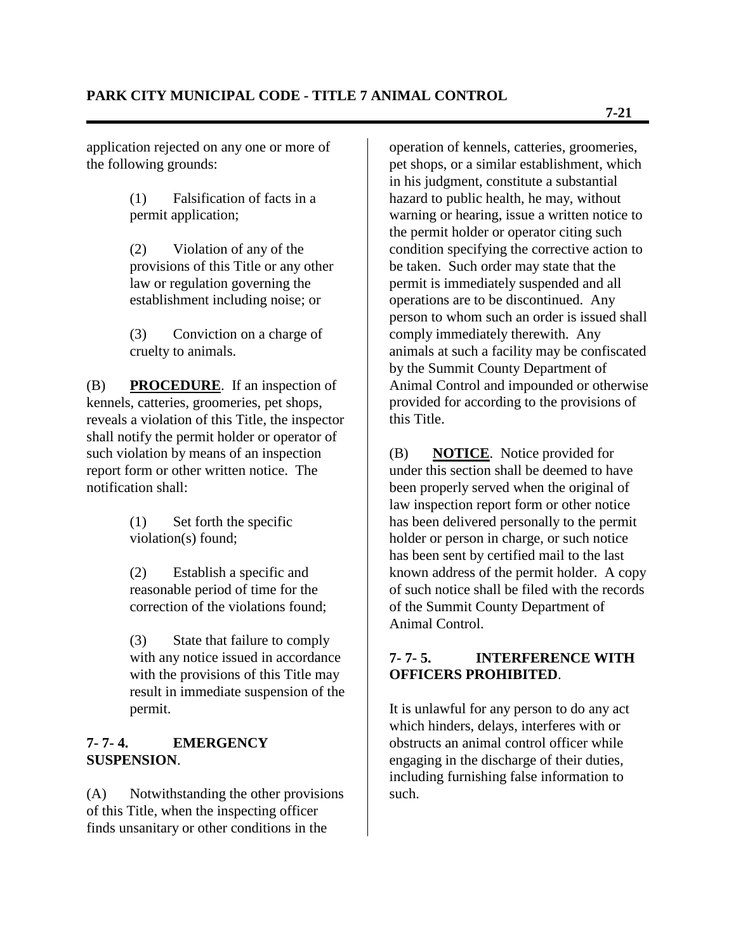application rejected on any one or more of the following grounds:

> (1) Falsification of facts in a permit application;

(2) Violation of any of the provisions of this Title or any other law or regulation governing the establishment including noise; or

(3) Conviction on a charge of cruelty to animals.

(B) **PROCEDURE**. If an inspection of kennels, catteries, groomeries, pet shops, reveals a violation of this Title, the inspector shall notify the permit holder or operator of such violation by means of an inspection report form or other written notice. The notification shall:

> (1) Set forth the specific violation(s) found;

(2) Establish a specific and reasonable period of time for the correction of the violations found;

(3) State that failure to comply with any notice issued in accordance with the provisions of this Title may result in immediate suspension of the permit.

## **7- 7- 4. EMERGENCY SUSPENSION**.

(A) Notwithstanding the other provisions of this Title, when the inspecting officer finds unsanitary or other conditions in the

operation of kennels, catteries, groomeries, pet shops, or a similar establishment, which in his judgment, constitute a substantial hazard to public health, he may, without warning or hearing, issue a written notice to the permit holder or operator citing such condition specifying the corrective action to be taken. Such order may state that the permit is immediately suspended and all operations are to be discontinued. Any person to whom such an order is issued shall comply immediately therewith. Any animals at such a facility may be confiscated by the Summit County Department of Animal Control and impounded or otherwise provided for according to the provisions of this Title.

(B) **NOTICE**. Notice provided for under this section shall be deemed to have been properly served when the original of law inspection report form or other notice has been delivered personally to the permit holder or person in charge, or such notice has been sent by certified mail to the last known address of the permit holder. A copy of such notice shall be filed with the records of the Summit County Department of Animal Control.

# **7- 7- 5. INTERFERENCE WITH OFFICERS PROHIBITED**.

It is unlawful for any person to do any act which hinders, delays, interferes with or obstructs an animal control officer while engaging in the discharge of their duties, including furnishing false information to such.